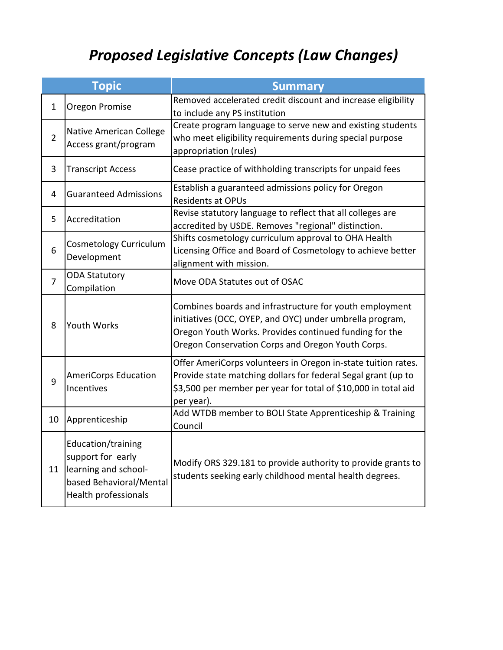## *Proposed Legislative Concepts (Law Changes)*

|                | <b>Topic</b>                                                                                                       | <b>Summary</b>                                                                                                                                                                                                                     |
|----------------|--------------------------------------------------------------------------------------------------------------------|------------------------------------------------------------------------------------------------------------------------------------------------------------------------------------------------------------------------------------|
| $\mathbf{1}$   | Oregon Promise                                                                                                     | Removed accelerated credit discount and increase eligibility<br>to include any PS institution                                                                                                                                      |
| $\overline{2}$ | <b>Native American College</b><br>Access grant/program                                                             | Create program language to serve new and existing students<br>who meet eligibility requirements during special purpose<br>appropriation (rules)                                                                                    |
| 3              | <b>Transcript Access</b>                                                                                           | Cease practice of withholding transcripts for unpaid fees                                                                                                                                                                          |
| 4              | <b>Guaranteed Admissions</b>                                                                                       | Establish a guaranteed admissions policy for Oregon<br><b>Residents at OPUs</b>                                                                                                                                                    |
| 5              | Accreditation                                                                                                      | Revise statutory language to reflect that all colleges are<br>accredited by USDE. Removes "regional" distinction.                                                                                                                  |
| 6              | Cosmetology Curriculum<br>Development                                                                              | Shifts cosmetology curriculum approval to OHA Health<br>Licensing Office and Board of Cosmetology to achieve better<br>alignment with mission.                                                                                     |
| $\overline{7}$ | <b>ODA Statutory</b><br>Compilation                                                                                | Move ODA Statutes out of OSAC                                                                                                                                                                                                      |
| 8              | <b>Youth Works</b>                                                                                                 | Combines boards and infrastructure for youth employment<br>initiatives (OCC, OYEP, and OYC) under umbrella program,<br>Oregon Youth Works. Provides continued funding for the<br>Oregon Conservation Corps and Oregon Youth Corps. |
| 9              | <b>AmeriCorps Education</b><br>Incentives                                                                          | Offer AmeriCorps volunteers in Oregon in-state tuition rates.<br>Provide state matching dollars for federal Segal grant (up to<br>\$3,500 per member per year for total of \$10,000 in total aid<br>per year).                     |
| 10             | Apprenticeship                                                                                                     | Add WTDB member to BOLI State Apprenticeship & Training<br>Council                                                                                                                                                                 |
| 11             | Education/training<br>support for early<br>learning and school-<br>based Behavioral/Mental<br>Health professionals | Modify ORS 329.181 to provide authority to provide grants to<br>students seeking early childhood mental health degrees.                                                                                                            |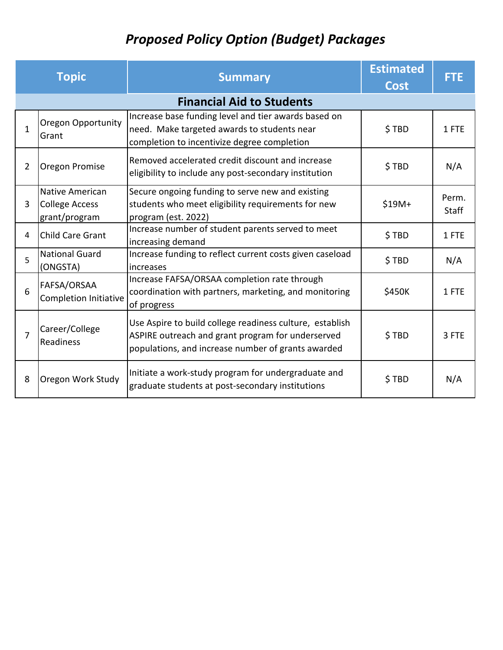## *Proposed Policy Option (Budget) Packages*

|                | <b>Topic</b>                                              | <b>Summary</b>                                                                                                                                                      | <b>Estimated</b><br><b>Cost</b> | <b>FTE</b>     |
|----------------|-----------------------------------------------------------|---------------------------------------------------------------------------------------------------------------------------------------------------------------------|---------------------------------|----------------|
|                |                                                           | <b>Financial Aid to Students</b>                                                                                                                                    |                                 |                |
| $\mathbf{1}$   | Oregon Opportunity<br>Grant                               | Increase base funding level and tier awards based on<br>need. Make targeted awards to students near<br>completion to incentivize degree completion                  | \$TBD                           | 1 FTE          |
| $\overline{2}$ | Oregon Promise                                            | Removed accelerated credit discount and increase<br>eligibility to include any post-secondary institution                                                           | \$TBD                           | N/A            |
| 3              | <b>Native American</b><br>College Access<br>grant/program | Secure ongoing funding to serve new and existing<br>students who meet eligibility requirements for new<br>program (est. 2022)                                       | $$19M+$                         | Perm.<br>Staff |
| 4              | <b>Child Care Grant</b>                                   | Increase number of student parents served to meet<br>increasing demand                                                                                              | \$TBD                           | 1 FTE          |
| 5              | <b>National Guard</b><br>(ONGSTA)                         | Increase funding to reflect current costs given caseload<br>increases                                                                                               | \$TBD                           | N/A            |
| 6              | FAFSA/ORSAA<br>Completion Initiative                      | Increase FAFSA/ORSAA completion rate through<br>coordination with partners, marketing, and monitoring<br>of progress                                                | \$450K                          | 1 FTE          |
| $\overline{7}$ | Career/College<br>Readiness                               | Use Aspire to build college readiness culture, establish<br>ASPIRE outreach and grant program for underserved<br>populations, and increase number of grants awarded | \$TBD                           | 3 FTE          |
| 8              | Oregon Work Study                                         | Initiate a work-study program for undergraduate and<br>graduate students at post-secondary institutions                                                             | \$TBD                           | N/A            |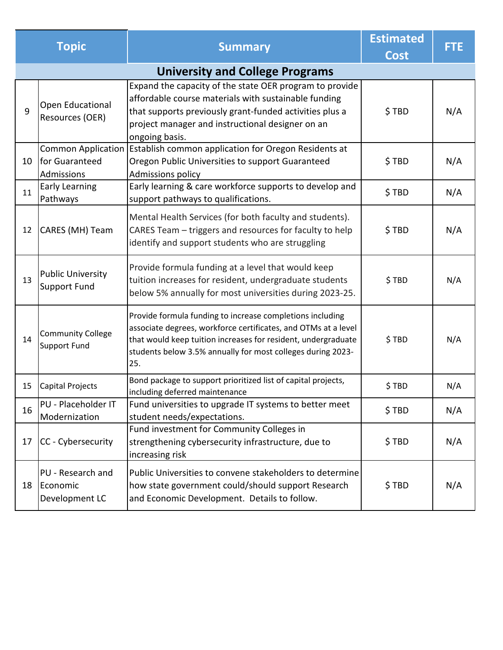|    | <b>Topic</b>                                    | <b>Summary</b>                                                                                                                                                                                                                                                     | <b>Estimated</b><br><b>Cost</b> | <b>FTE</b> |
|----|-------------------------------------------------|--------------------------------------------------------------------------------------------------------------------------------------------------------------------------------------------------------------------------------------------------------------------|---------------------------------|------------|
|    |                                                 | <b>University and College Programs</b>                                                                                                                                                                                                                             |                                 |            |
| 9  | Open Educational<br>Resources (OER)             | Expand the capacity of the state OER program to provide<br>affordable course materials with sustainable funding<br>that supports previously grant-funded activities plus a<br>project manager and instructional designer on an<br>ongoing basis.                   | \$TBD                           | N/A        |
| 10 | for Guaranteed<br>Admissions                    | Common Application   Establish common application for Oregon Residents at<br>Oregon Public Universities to support Guaranteed<br><b>Admissions policy</b>                                                                                                          | \$TBD                           | N/A        |
| 11 | <b>Early Learning</b><br>Pathways               | Early learning & care workforce supports to develop and<br>support pathways to qualifications.                                                                                                                                                                     | \$TBD                           | N/A        |
| 12 | CARES (MH) Team                                 | Mental Health Services (for both faculty and students).<br>CARES Team - triggers and resources for faculty to help<br>identify and support students who are struggling                                                                                             | \$TBD                           | N/A        |
| 13 | <b>Public University</b><br>Support Fund        | Provide formula funding at a level that would keep<br>tuition increases for resident, undergraduate students<br>below 5% annually for most universities during 2023-25.                                                                                            | \$TBD                           | N/A        |
| 14 | <b>Community College</b><br>Support Fund        | Provide formula funding to increase completions including<br>associate degrees, workforce certificates, and OTMs at a level<br>that would keep tuition increases for resident, undergraduate<br>students below 3.5% annually for most colleges during 2023-<br>25. | \$TBD                           | N/A        |
| 15 | Capital Projects                                | Bond package to support prioritized list of capital projects,<br>including deferred maintenance                                                                                                                                                                    | \$TBD                           | N/A        |
| 16 | PU - Placeholder IT<br>Modernization            | Fund universities to upgrade IT systems to better meet<br>student needs/expectations.                                                                                                                                                                              | \$TBD                           | N/A        |
| 17 | CC - Cybersecurity                              | Fund investment for Community Colleges in<br>strengthening cybersecurity infrastructure, due to<br>increasing risk                                                                                                                                                 | \$TBD                           | N/A        |
| 18 | PU - Research and<br>Economic<br>Development LC | Public Universities to convene stakeholders to determine<br>how state government could/should support Research<br>and Economic Development. Details to follow.                                                                                                     | \$TBD                           | N/A        |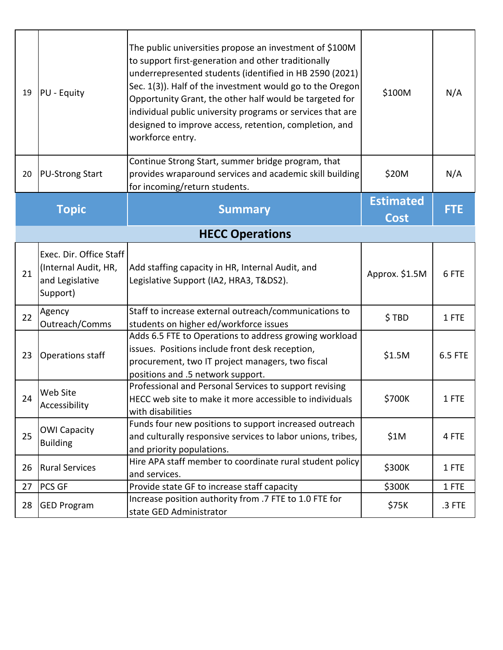| 19 | PU - Equity                                                                    | The public universities propose an investment of \$100M<br>to support first-generation and other traditionally<br>underrepresented students (identified in HB 2590 (2021)<br>Sec. 1(3)). Half of the investment would go to the Oregon<br>Opportunity Grant, the other half would be targeted for<br>individual public university programs or services that are<br>designed to improve access, retention, completion, and<br>workforce entry. | \$100M                          | N/A        |
|----|--------------------------------------------------------------------------------|-----------------------------------------------------------------------------------------------------------------------------------------------------------------------------------------------------------------------------------------------------------------------------------------------------------------------------------------------------------------------------------------------------------------------------------------------|---------------------------------|------------|
| 20 | <b>PU-Strong Start</b>                                                         | Continue Strong Start, summer bridge program, that<br>provides wraparound services and academic skill building<br>for incoming/return students.                                                                                                                                                                                                                                                                                               | \$20M                           | N/A        |
|    | <b>Topic</b>                                                                   | <b>Summary</b>                                                                                                                                                                                                                                                                                                                                                                                                                                | <b>Estimated</b><br><b>Cost</b> | <b>FTE</b> |
|    |                                                                                | <b>HECC Operations</b>                                                                                                                                                                                                                                                                                                                                                                                                                        |                                 |            |
| 21 | Exec. Dir. Office Staff<br>(Internal Audit, HR,<br>and Legislative<br>Support) | Add staffing capacity in HR, Internal Audit, and<br>Legislative Support (IA2, HRA3, T&DS2).                                                                                                                                                                                                                                                                                                                                                   | Approx. \$1.5M                  | 6 FTE      |
| 22 | Agency<br>Outreach/Comms                                                       | Staff to increase external outreach/communications to<br>students on higher ed/workforce issues                                                                                                                                                                                                                                                                                                                                               | \$TBD                           | 1 FTE      |
| 23 | Operations staff                                                               | Adds 6.5 FTE to Operations to address growing workload<br>issues. Positions include front desk reception,<br>procurement, two IT project managers, two fiscal<br>positions and .5 network support.                                                                                                                                                                                                                                            | \$1.5M                          | 6.5 FTE    |
| 24 | <b>Web Site</b><br>Accessibility                                               | Professional and Personal Services to support revising<br>HECC web site to make it more accessible to individuals<br>with disabilities                                                                                                                                                                                                                                                                                                        | \$700K                          | 1 FTE      |
| 25 | <b>OWI Capacity</b><br><b>Building</b>                                         | Funds four new positions to support increased outreach<br>and culturally responsive services to labor unions, tribes,<br>and priority populations.                                                                                                                                                                                                                                                                                            | \$1M                            | 4 FTE      |
| 26 | <b>Rural Services</b>                                                          | Hire APA staff member to coordinate rural student policy<br>and services.                                                                                                                                                                                                                                                                                                                                                                     | \$300K                          | 1 FTE      |
| 27 | <b>PCS GF</b>                                                                  | Provide state GF to increase staff capacity                                                                                                                                                                                                                                                                                                                                                                                                   | \$300K                          | 1 FTE      |
| 28 | <b>GED Program</b>                                                             | Increase position authority from .7 FTE to 1.0 FTE for<br>state GED Administrator                                                                                                                                                                                                                                                                                                                                                             | \$75K                           | $.3$ FTE   |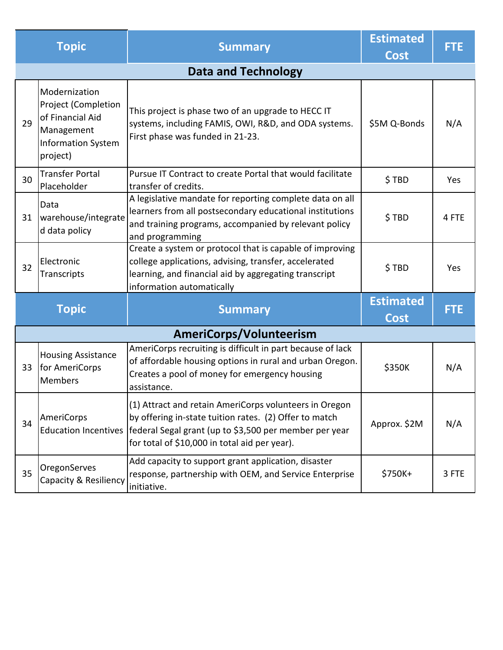|    | <b>Topic</b>                                                                                                    | <b>Summary</b>                                                                                                                                                                                                              | <b>Estimated</b><br><b>Cost</b> | FTE.       |
|----|-----------------------------------------------------------------------------------------------------------------|-----------------------------------------------------------------------------------------------------------------------------------------------------------------------------------------------------------------------------|---------------------------------|------------|
|    |                                                                                                                 | <b>Data and Technology</b>                                                                                                                                                                                                  |                                 |            |
| 29 | Modernization<br>Project (Completion<br>of Financial Aid<br>Management<br><b>Information System</b><br>project) | This project is phase two of an upgrade to HECC IT<br>systems, including FAMIS, OWI, R&D, and ODA systems.<br>First phase was funded in 21-23.                                                                              | \$5M Q-Bonds                    | N/A        |
| 30 | <b>Transfer Portal</b><br>Placeholder                                                                           | Pursue IT Contract to create Portal that would facilitate<br>transfer of credits.                                                                                                                                           | \$TBD                           | Yes        |
| 31 | Data<br>warehouse/integrate<br>d data policy                                                                    | A legislative mandate for reporting complete data on all<br>learners from all postsecondary educational institutions<br>and training programs, accompanied by relevant policy<br>and programming                            | \$TBD                           | 4 FTE      |
| 32 | Electronic<br>Transcripts                                                                                       | Create a system or protocol that is capable of improving<br>college applications, advising, transfer, accelerated<br>learning, and financial aid by aggregating transcript<br>information automatically                     | \$TBD                           | Yes        |
|    |                                                                                                                 |                                                                                                                                                                                                                             | <b>Estimated</b>                | <b>FTE</b> |
|    | <b>Topic</b>                                                                                                    | <b>Summary</b>                                                                                                                                                                                                              | Cost                            |            |
|    |                                                                                                                 | AmeriCorps/Volunteerism                                                                                                                                                                                                     |                                 |            |
| 33 | <b>Housing Assistance</b><br>for AmeriCorps<br><b>Members</b>                                                   | AmeriCorps recruiting is difficult in part because of lack<br>of affordable housing options in rural and urban Oregon.<br>Creates a pool of money for emergency housing<br>assistance.                                      | \$350K                          | N/A        |
| 34 | AmeriCorps<br><b>Education Incentives</b>                                                                       | (1) Attract and retain AmeriCorps volunteers in Oregon<br>by offering in-state tuition rates. (2) Offer to match<br>federal Segal grant (up to \$3,500 per member per year<br>for total of \$10,000 in total aid per year). | Approx. \$2M                    | N/A        |
| 35 | OregonServes<br>Capacity & Resiliency                                                                           | Add capacity to support grant application, disaster<br>response, partnership with OEM, and Service Enterprise<br>initiative.                                                                                                | \$750K+                         | 3 FTE      |